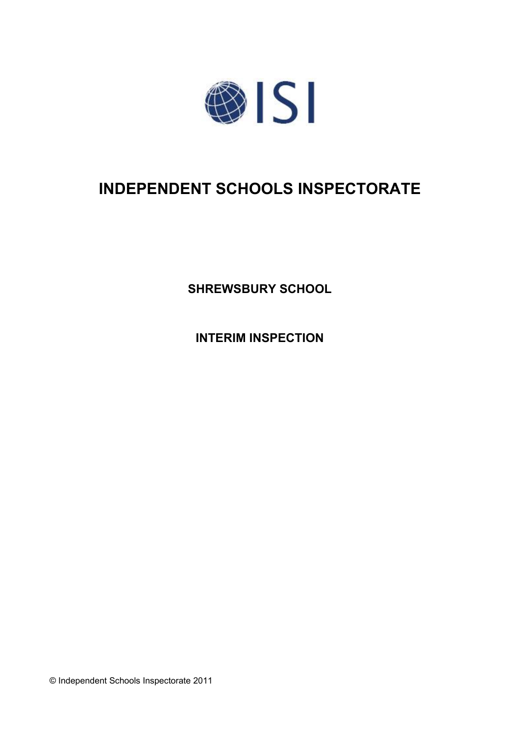

# **INDEPENDENT SCHOOLS INSPECTORATE**

**SHREWSBURY SCHOOL**

**INTERIM INSPECTION**

© Independent Schools Inspectorate 2011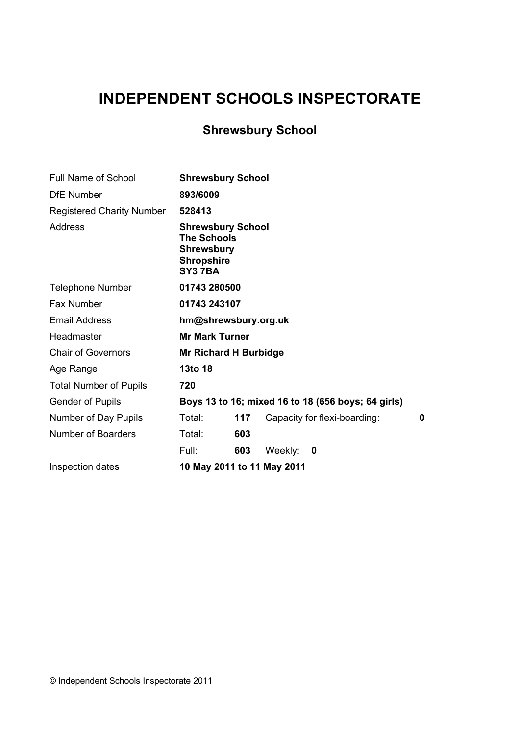## **INDEPENDENT SCHOOLS INSPECTORATE**

## **Shrewsbury School**

| <b>Full Name of School</b>       | <b>Shrewsbury School</b>                                                                           |     |         |                                                    |   |
|----------------------------------|----------------------------------------------------------------------------------------------------|-----|---------|----------------------------------------------------|---|
| <b>DfE</b> Number                | 893/6009                                                                                           |     |         |                                                    |   |
| <b>Registered Charity Number</b> | 528413                                                                                             |     |         |                                                    |   |
| Address                          | <b>Shrewsbury School</b><br><b>The Schools</b><br><b>Shrewsbury</b><br><b>Shropshire</b><br>SY37BA |     |         |                                                    |   |
| <b>Telephone Number</b>          | 01743 280500                                                                                       |     |         |                                                    |   |
| <b>Fax Number</b>                | 01743 243107                                                                                       |     |         |                                                    |   |
| <b>Email Address</b>             | hm@shrewsbury.org.uk                                                                               |     |         |                                                    |   |
| Headmaster                       | <b>Mr Mark Turner</b>                                                                              |     |         |                                                    |   |
| <b>Chair of Governors</b>        | <b>Mr Richard H Burbidge</b>                                                                       |     |         |                                                    |   |
| Age Range                        | 13to 18                                                                                            |     |         |                                                    |   |
| <b>Total Number of Pupils</b>    | 720                                                                                                |     |         |                                                    |   |
| <b>Gender of Pupils</b>          |                                                                                                    |     |         | Boys 13 to 16; mixed 16 to 18 (656 boys; 64 girls) |   |
| Number of Day Pupils             | Total:                                                                                             | 117 |         | Capacity for flexi-boarding:                       | 0 |
| Number of Boarders               | Total:                                                                                             | 603 |         |                                                    |   |
|                                  | Full:                                                                                              | 603 | Weekly: | 0                                                  |   |
| Inspection dates                 | 10 May 2011 to 11 May 2011                                                                         |     |         |                                                    |   |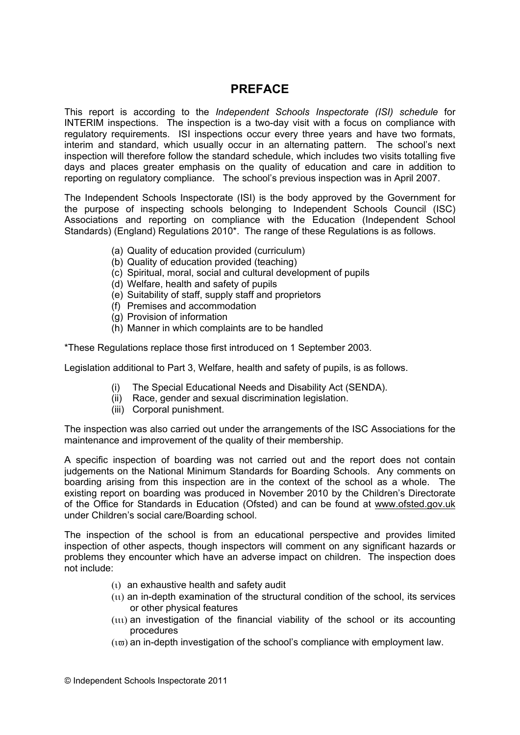$\bar{1}$  $\frac{1}{\sqrt{2}}$  $\frac{1}{2}$  $\frac{1}{2}$  $\frac{1}{2}$  $\overline{\phantom{a}}$  $\epsilon$  $\frac{1}{2}$  $\overline{1}$  $\mathbf{u}$  $\overline{0}$  $-1$  $\mathbf 1$  $\mathsf 0$  $\%$  $\epsilon$  $\sqrt{\phantom{a}}$  $\frac{1}{2}$  1  $\frac{1}{2}$  $2 \ddot{\phantom{a}}$  $\frac{1}{2}$  $\overline{3}$  $\overline{4}$  $\frac{9}{6}$  $$ \%$  $\overline{3}$  $\overline{3}$  $5 - 1$  $\mathbf{3}$  $\overline{\mathcal{A}}$  $\overline{\mathbf{4}}$  $\frac{\%}{\%}$  $\frac{3}{3}$  $\overline{\mathcal{A}}$  $\overline{4}$  $\overline{0}$  $\frac{1}{2}$  $\mathbf 0$  $\overline{0}$  $\overline{0}$  $\%$  $\ddot{\phantom{0}}$  $5!$  $7 \bf{8}$  $\&$  $70*$  $\mathbf 0$  $\mathbf 0$  $\sim$   $\sim$  $\begin{array}{ccc} 3 & 4! \\ 3 & 4 \\ 3 & 4 \end{array}$  $\overline{3}$  $4 \overline{0}$  $\frac{1}{2}$  $\ddot{\phantom{0}}$  $\frac{9}{6}$  $\overline{I}$  $\overline{9}$  $\big)$  $\overline{\phantom{a}}$  $\ddot{ }$  $\sim$  1  $\frac{1}{1}$  $\mathbf{u}$  $\%$  $3:$  $\frac{9}{6}$  $\ddot{\cdot}$  $\overline{4}$  $;$  )  $\overline{1}$  $\frac{1}{2}$  $\frac{1}{2}$  $\%$  $\mathbf 0$  $\prec$  $\frac{9}{6}$  $\frac{1}{2}$  $\dot{\dot{1}}$  $\ddot{\phantom{a}}$  $\blacksquare$  $\frac{9}{1}$  $\overline{(}$  $\mathbf 0$  $\%$  $\frac{9}{6}$  $\frac{1}{2}$  $\overline{(\ }$  $\frac{1}{6}$  $\overline{1}$  $\ddot{\phantom{0}}$ 

8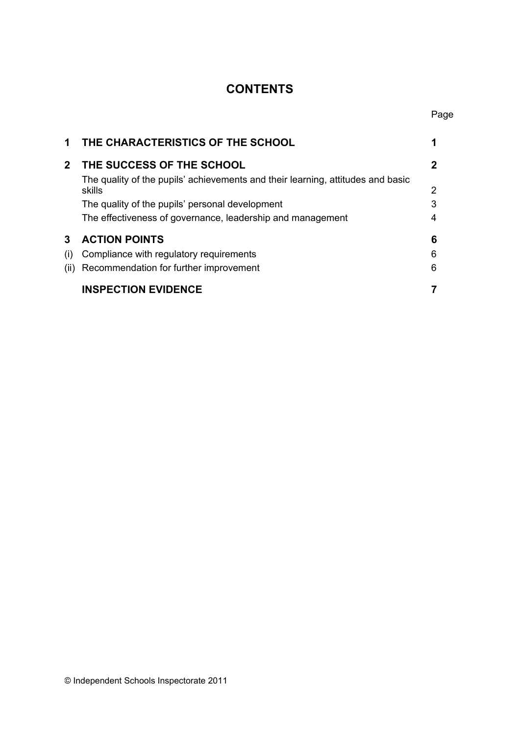## **CONTENTS**

| 1            | THE CHARACTERISTICS OF THE SCHOOL                                                         |   |
|--------------|-------------------------------------------------------------------------------------------|---|
| $\mathbf{2}$ | THE SUCCESS OF THE SCHOOL                                                                 |   |
|              | The quality of the pupils' achievements and their learning, attitudes and basic<br>skills | 2 |
|              | The quality of the pupils' personal development                                           | 3 |
|              | The effectiveness of governance, leadership and management                                | 4 |
| 3            | <b>ACTION POINTS</b>                                                                      | 6 |
| (i)          | Compliance with regulatory requirements                                                   | 6 |
| (ii)         | Recommendation for further improvement                                                    | 6 |
|              | <b>INSPECTION EVIDENCE</b>                                                                |   |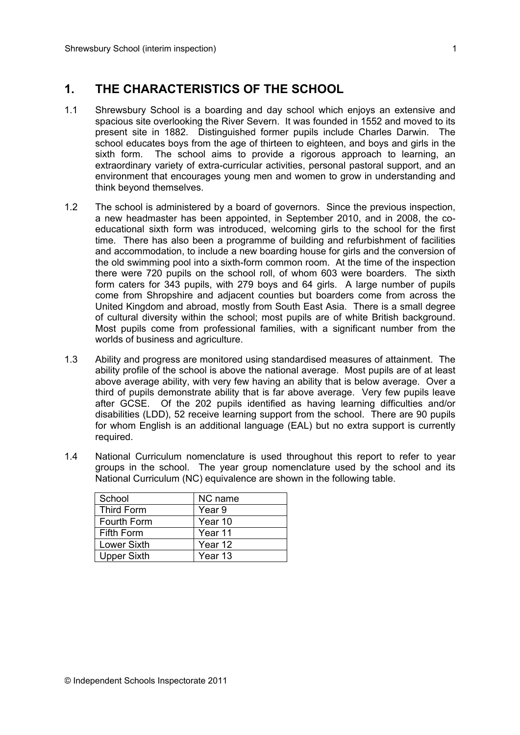## **1. THE CHARACTERISTICS OF THE SCHOOL**

- 1.1 Shrewsbury School is a boarding and day school which enjoys an extensive and spacious site overlooking the River Severn. It was founded in 1552 and moved to its present site in 1882. Distinguished former pupils include Charles Darwin. The school educates boys from the age of thirteen to eighteen, and boys and girls in the sixth form. The school aims to provide a rigorous approach to learning, an extraordinary variety of extra-curricular activities, personal pastoral support, and an environment that encourages young men and women to grow in understanding and think beyond themselves.
- 1.2 The school is administered by a board of governors. Since the previous inspection, a new headmaster has been appointed, in September 2010, and in 2008, the coeducational sixth form was introduced, welcoming girls to the school for the first time. There has also been a programme of building and refurbishment of facilities and accommodation, to include a new boarding house for girls and the conversion of the old swimming pool into a sixth-form common room. At the time of the inspection there were 720 pupils on the school roll, of whom 603 were boarders. The sixth form caters for 343 pupils, with 279 boys and 64 girls. A large number of pupils come from Shropshire and adjacent counties but boarders come from across the United Kingdom and abroad, mostly from South East Asia. There is a small degree of cultural diversity within the school; most pupils are of white British background. Most pupils come from professional families, with a significant number from the worlds of business and agriculture.
- 1.3 Ability and progress are monitored using standardised measures of attainment. The ability profile of the school is above the national average. Most pupils are of at least above average ability, with very few having an ability that is below average. Over a third of pupils demonstrate ability that is far above average. Very few pupils leave after GCSE. Of the 202 pupils identified as having learning difficulties and/or disabilities (LDD), 52 receive learning support from the school. There are 90 pupils for whom English is an additional language (EAL) but no extra support is currently required.
- 1.4 National Curriculum nomenclature is used throughout this report to refer to year groups in the school. The year group nomenclature used by the school and its National Curriculum (NC) equivalence are shown in the following table.

| School             | NC name |
|--------------------|---------|
| Third Form         | Year 9  |
| Fourth Form        | Year 10 |
| Fifth Form         | Year 11 |
| <b>Lower Sixth</b> | Year 12 |
| <b>Upper Sixth</b> | Year 13 |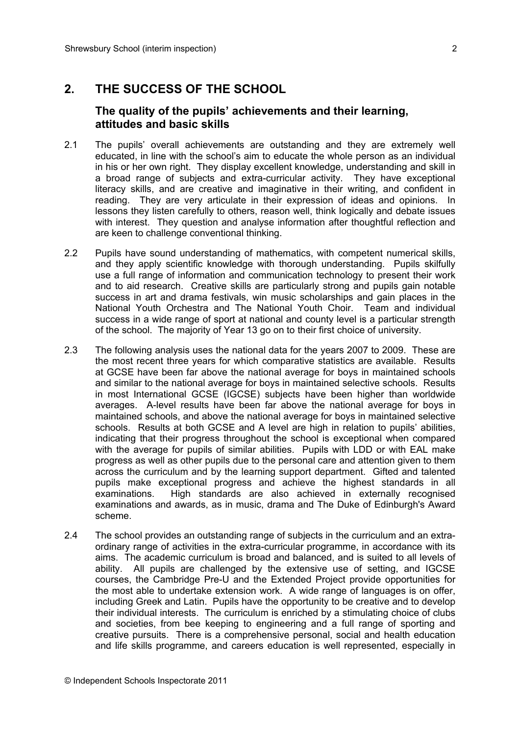### **2. THE SUCCESS OF THE SCHOOL**

#### **The quality of the pupils' achievements and their learning, attitudes and basic skills**

- 2.1 The pupils' overall achievements are outstanding and they are extremely well educated, in line with the school's aim to educate the whole person as an individual in his or her own right. They display excellent knowledge, understanding and skill in a broad range of subjects and extra-curricular activity. They have exceptional literacy skills, and are creative and imaginative in their writing, and confident in reading. They are very articulate in their expression of ideas and opinions. In lessons they listen carefully to others, reason well, think logically and debate issues with interest. They question and analyse information after thoughtful reflection and are keen to challenge conventional thinking.
- 2.2 Pupils have sound understanding of mathematics, with competent numerical skills, and they apply scientific knowledge with thorough understanding. Pupils skilfully use a full range of information and communication technology to present their work and to aid research. Creative skills are particularly strong and pupils gain notable success in art and drama festivals, win music scholarships and gain places in the National Youth Orchestra and The National Youth Choir. Team and individual success in a wide range of sport at national and county level is a particular strength of the school. The majority of Year 13 go on to their first choice of university.
- 2.3 The following analysis uses the national data for the years 2007 to 2009. These are the most recent three years for which comparative statistics are available. Results at GCSE have been far above the national average for boys in maintained schools and similar to the national average for boys in maintained selective schools. Results in most International GCSE (IGCSE) subjects have been higher than worldwide averages. A-level results have been far above the national average for boys in maintained schools, and above the national average for boys in maintained selective schools. Results at both GCSE and A level are high in relation to pupils' abilities, indicating that their progress throughout the school is exceptional when compared with the average for pupils of similar abilities. Pupils with LDD or with EAL make progress as well as other pupils due to the personal care and attention given to them across the curriculum and by the learning support department. Gifted and talented pupils make exceptional progress and achieve the highest standards in all examinations. High standards are also achieved in externally recognised examinations and awards, as in music, drama and The Duke of Edinburgh's Award scheme.
- 2.4 The school provides an outstanding range of subjects in the curriculum and an extraordinary range of activities in the extra-curricular programme, in accordance with its aims. The academic curriculum is broad and balanced, and is suited to all levels of ability. All pupils are challenged by the extensive use of setting, and IGCSE courses, the Cambridge Pre-U and the Extended Project provide opportunities for the most able to undertake extension work. A wide range of languages is on offer, including Greek and Latin. Pupils have the opportunity to be creative and to develop their individual interests. The curriculum is enriched by a stimulating choice of clubs and societies, from bee keeping to engineering and a full range of sporting and creative pursuits. There is a comprehensive personal, social and health education and life skills programme, and careers education is well represented, especially in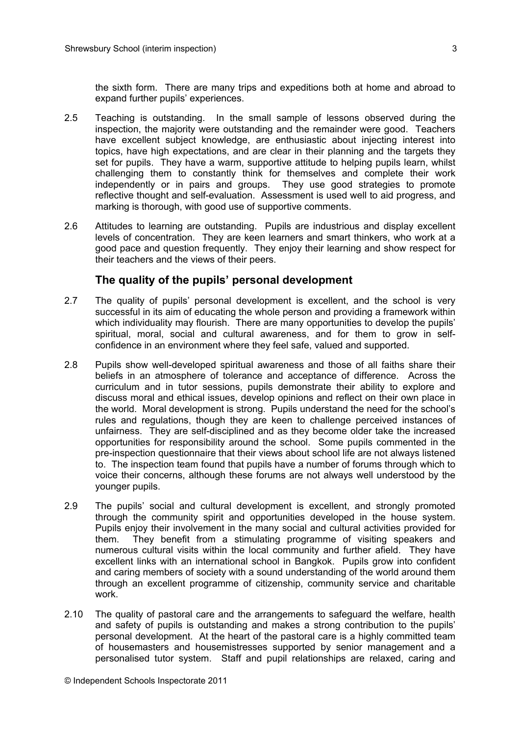the sixth form. There are many trips and expeditions both at home and abroad to expand further pupils' experiences.

- 2.5 Teaching is outstanding. In the small sample of lessons observed during the inspection, the majority were outstanding and the remainder were good. Teachers have excellent subject knowledge, are enthusiastic about injecting interest into topics, have high expectations, and are clear in their planning and the targets they set for pupils. They have a warm, supportive attitude to helping pupils learn, whilst challenging them to constantly think for themselves and complete their work independently or in pairs and groups. They use good strategies to promote reflective thought and self-evaluation. Assessment is used well to aid progress, and marking is thorough, with good use of supportive comments.
- 2.6 Attitudes to learning are outstanding. Pupils are industrious and display excellent levels of concentration. They are keen learners and smart thinkers, who work at a good pace and question frequently. They enjoy their learning and show respect for their teachers and the views of their peers.

#### **The quality of the pupils' personal development**

- 2.7 The quality of pupils' personal development is excellent, and the school is very successful in its aim of educating the whole person and providing a framework within which individuality may flourish. There are many opportunities to develop the pupils' spiritual, moral, social and cultural awareness, and for them to grow in selfconfidence in an environment where they feel safe, valued and supported.
- 2.8 Pupils show well-developed spiritual awareness and those of all faiths share their beliefs in an atmosphere of tolerance and acceptance of difference. Across the curriculum and in tutor sessions, pupils demonstrate their ability to explore and discuss moral and ethical issues, develop opinions and reflect on their own place in the world. Moral development is strong. Pupils understand the need for the school's rules and regulations, though they are keen to challenge perceived instances of unfairness. They are self-disciplined and as they become older take the increased opportunities for responsibility around the school. Some pupils commented in the pre-inspection questionnaire that their views about school life are not always listened to. The inspection team found that pupils have a number of forums through which to voice their concerns, although these forums are not always well understood by the younger pupils.
- 2.9 The pupils' social and cultural development is excellent, and strongly promoted through the community spirit and opportunities developed in the house system. Pupils enjoy their involvement in the many social and cultural activities provided for them. They benefit from a stimulating programme of visiting speakers and numerous cultural visits within the local community and further afield. They have excellent links with an international school in Bangkok. Pupils grow into confident and caring members of society with a sound understanding of the world around them through an excellent programme of citizenship, community service and charitable work.
- 2.10 The quality of pastoral care and the arrangements to safeguard the welfare, health and safety of pupils is outstanding and makes a strong contribution to the pupils' personal development. At the heart of the pastoral care is a highly committed team of housemasters and housemistresses supported by senior management and a personalised tutor system. Staff and pupil relationships are relaxed, caring and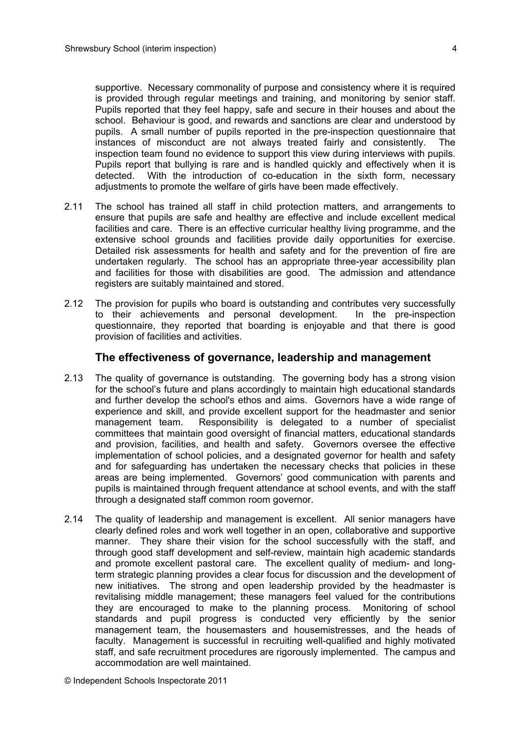supportive. Necessary commonality of purpose and consistency where it is required is provided through regular meetings and training, and monitoring by senior staff. Pupils reported that they feel happy, safe and secure in their houses and about the school. Behaviour is good, and rewards and sanctions are clear and understood by pupils. A small number of pupils reported in the pre-inspection questionnaire that instances of misconduct are not always treated fairly and consistently. The inspection team found no evidence to support this view during interviews with pupils. Pupils report that bullying is rare and is handled quickly and effectively when it is detected. With the introduction of co-education in the sixth form, necessary adjustments to promote the welfare of girls have been made effectively.

- 2.11 The school has trained all staff in child protection matters, and arrangements to ensure that pupils are safe and healthy are effective and include excellent medical facilities and care. There is an effective curricular healthy living programme, and the extensive school grounds and facilities provide daily opportunities for exercise. Detailed risk assessments for health and safety and for the prevention of fire are undertaken regularly. The school has an appropriate three-year accessibility plan and facilities for those with disabilities are good. The admission and attendance registers are suitably maintained and stored.
- 2.12 The provision for pupils who board is outstanding and contributes very successfully to their achievements and personal development. In the pre-inspection questionnaire, they reported that boarding is enjoyable and that there is good provision of facilities and activities.

#### **The effectiveness of governance, leadership and management**

- 2.13 The quality of governance is outstanding. The governing body has a strong vision for the school's future and plans accordingly to maintain high educational standards and further develop the school's ethos and aims. Governors have a wide range of experience and skill, and provide excellent support for the headmaster and senior management team. Responsibility is delegated to a number of specialist committees that maintain good oversight of financial matters, educational standards and provision, facilities, and health and safety. Governors oversee the effective implementation of school policies, and a designated governor for health and safety and for safeguarding has undertaken the necessary checks that policies in these areas are being implemented. Governors' good communication with parents and pupils is maintained through frequent attendance at school events, and with the staff through a designated staff common room governor.
- 2.14 The quality of leadership and management is excellent. All senior managers have clearly defined roles and work well together in an open, collaborative and supportive manner. They share their vision for the school successfully with the staff, and through good staff development and self-review, maintain high academic standards and promote excellent pastoral care. The excellent quality of medium- and longterm strategic planning provides a clear focus for discussion and the development of new initiatives. The strong and open leadership provided by the headmaster is revitalising middle management; these managers feel valued for the contributions they are encouraged to make to the planning process. Monitoring of school standards and pupil progress is conducted very efficiently by the senior management team, the housemasters and housemistresses, and the heads of faculty. Management is successful in recruiting well-qualified and highly motivated staff, and safe recruitment procedures are rigorously implemented. The campus and accommodation are well maintained.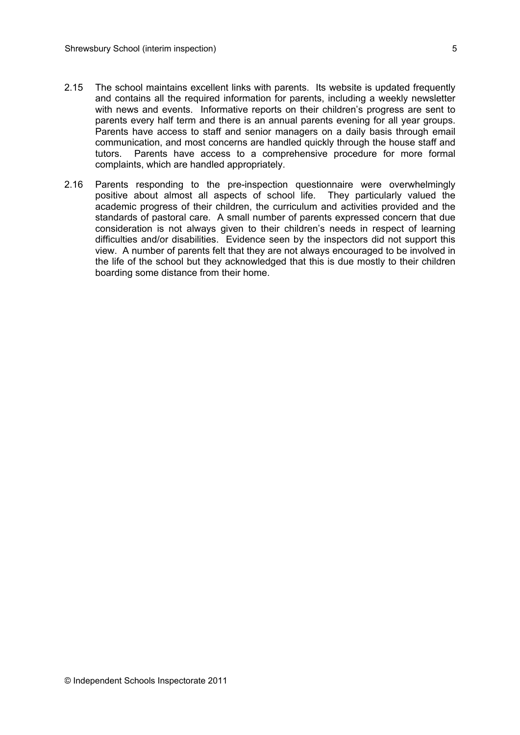- 2.15 The school maintains excellent links with parents. Its website is updated frequently and contains all the required information for parents, including a weekly newsletter with news and events. Informative reports on their children's progress are sent to parents every half term and there is an annual parents evening for all year groups. Parents have access to staff and senior managers on a daily basis through email communication, and most concerns are handled quickly through the house staff and tutors. Parents have access to a comprehensive procedure for more formal complaints, which are handled appropriately.
- 2.16 Parents responding to the pre-inspection questionnaire were overwhelmingly positive about almost all aspects of school life. They particularly valued the academic progress of their children, the curriculum and activities provided and the standards of pastoral care. A small number of parents expressed concern that due consideration is not always given to their children's needs in respect of learning difficulties and/or disabilities. Evidence seen by the inspectors did not support this view. A number of parents felt that they are not always encouraged to be involved in the life of the school but they acknowledged that this is due mostly to their children boarding some distance from their home.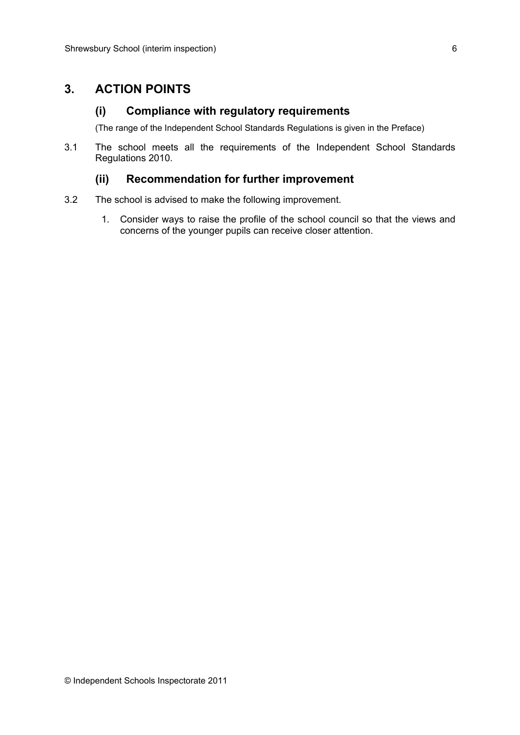## **3. ACTION POINTS**

#### **(i) Compliance with regulatory requirements**

(The range of the Independent School Standards Regulations is given in the Preface)

3.1 The school meets all the requirements of the Independent School Standards Regulations 2010.

#### **(ii) Recommendation for further improvement**

- 3.2 The school is advised to make the following improvement.
	- 1. Consider ways to raise the profile of the school council so that the views and concerns of the younger pupils can receive closer attention.